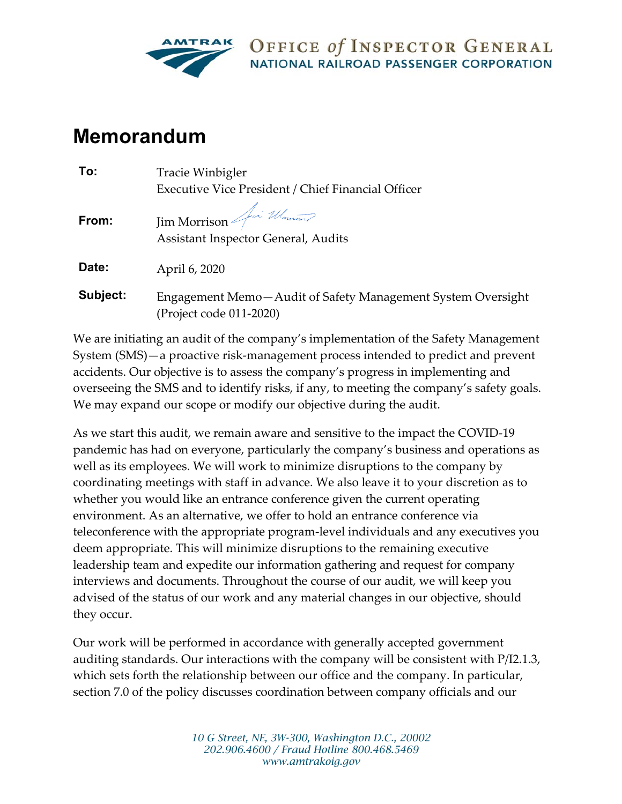

OFFICE of INSPECTOR GENERAL **NATIONAL RAILROAD PASSENGER CORPORATION** 

## **Memorandum**

| To:      | Tracie Winbigler                                                                       |
|----------|----------------------------------------------------------------------------------------|
|          | Executive Vice President / Chief Financial Officer                                     |
| From:    | Jim Morrison Jui Warren<br>Assistant Inspector General, Audits                         |
| Date:    | April 6, 2020                                                                          |
| Subject: | Engagement Memo-Audit of Safety Management System Oversight<br>(Project code 011-2020) |

We are initiating an audit of the company's implementation of the Safety Management System (SMS)—a proactive risk‐management process intended to predict and prevent accidents. Our objective is to assess the company's progress in implementing and overseeing the SMS and to identify risks, if any, to meeting the company's safety goals. We may expand our scope or modify our objective during the audit.

As we start this audit, we remain aware and sensitive to the impact the COVID‐19 pandemic has had on everyone, particularly the company's business and operations as well as its employees. We will work to minimize disruptions to the company by coordinating meetings with staff in advance. We also leave it to your discretion as to whether you would like an entrance conference given the current operating environment. As an alternative, we offer to hold an entrance conference via teleconference with the appropriate program‐level individuals and any executives you deem appropriate. This will minimize disruptions to the remaining executive leadership team and expedite our information gathering and request for company interviews and documents. Throughout the course of our audit, we will keep you advised of the status of our work and any material changes in our objective, should they occur.

Our work will be performed in accordance with generally accepted government auditing standards. Our interactions with the company will be consistent with P/I2.1.3, which sets forth the relationship between our office and the company. In particular, section 7.0 of the policy discusses coordination between company officials and our

> *10 G Street, NE, 3W-300, Washington D.C., 20002 202.906.4600 / Fraud Hotline 800.468.5469 www.amtrakoig.gov*